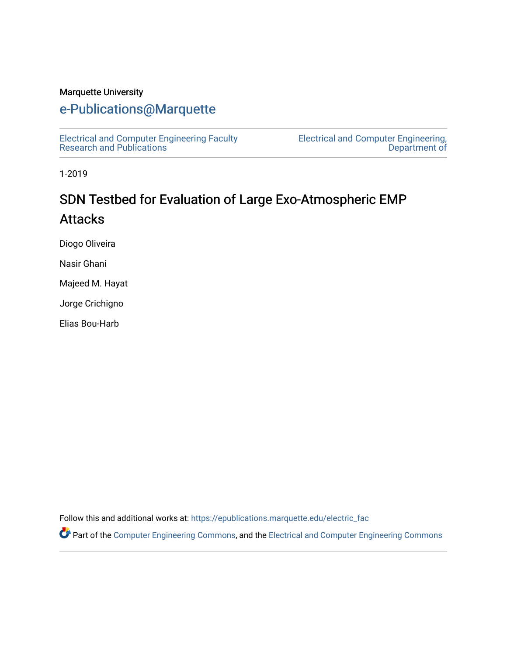#### Marquette University

# [e-Publications@Marquette](https://epublications.marquette.edu/)

[Electrical and Computer Engineering Faculty](https://epublications.marquette.edu/electric_fac) [Research and Publications](https://epublications.marquette.edu/electric_fac) 

[Electrical and Computer Engineering,](https://epublications.marquette.edu/electric)  [Department of](https://epublications.marquette.edu/electric) 

1-2019

# SDN Testbed for Evaluation of Large Exo-Atmospheric EMP **Attacks**

Diogo Oliveira

Nasir Ghani

Majeed M. Hayat

Jorge Crichigno

Elias Bou-Harb

Follow this and additional works at: [https://epublications.marquette.edu/electric\\_fac](https://epublications.marquette.edu/electric_fac?utm_source=epublications.marquette.edu%2Felectric_fac%2F531&utm_medium=PDF&utm_campaign=PDFCoverPages) 

Part of the [Computer Engineering Commons,](http://network.bepress.com/hgg/discipline/258?utm_source=epublications.marquette.edu%2Felectric_fac%2F531&utm_medium=PDF&utm_campaign=PDFCoverPages) and the [Electrical and Computer Engineering Commons](http://network.bepress.com/hgg/discipline/266?utm_source=epublications.marquette.edu%2Felectric_fac%2F531&utm_medium=PDF&utm_campaign=PDFCoverPages)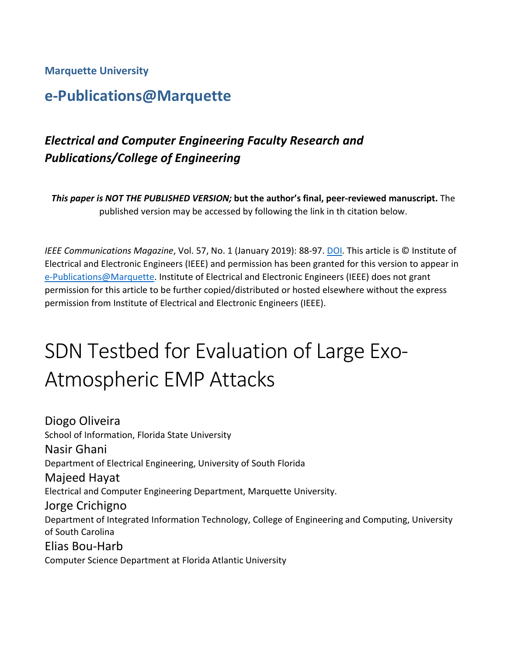#### **Marquette University**

# **e-Publications@Marquette**

# *Electrical and Computer Engineering Faculty Research and Publications/College of Engineering*

*This paper is NOT THE PUBLISHED VERSION;* **but the author's final, peer-reviewed manuscript.** The published version may be accessed by following the link in th citation below.

*IEEE Communications Magazine*, Vol. 57, No. 1 (January 2019): 88-97. [DOI.](https://doi.org/10.1109/MCOM.2017.1700847) This article is © Institute of Electrical and Electronic Engineers (IEEE) and permission has been granted for this version to appear in [e-Publications@Marquette.](http://epublications.marquette.edu/) Institute of Electrical and Electronic Engineers (IEEE) does not grant permission for this article to be further copied/distributed or hosted elsewhere without the express permission from Institute of Electrical and Electronic Engineers (IEEE).

# SDN Testbed for Evaluation of Large Exo-Atmospheric EMP Attacks

Diogo Oliveira School of Information, Florida State University Nasir Ghani Department of Electrical Engineering, University of South Florida Majeed Hayat Electrical and Computer Engineering Department, Marquette University. Jorge Crichigno Department of Integrated Information Technology, College of Engineering and Computing, University of South Carolina Elias Bou-Harb Computer Science Department at Florida Atlantic University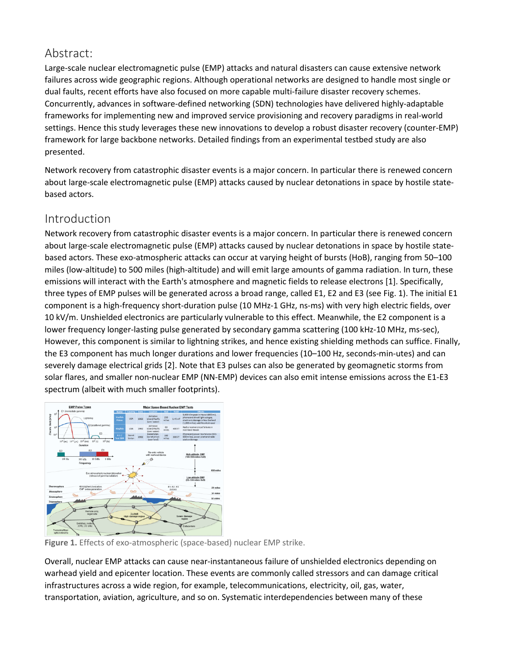## Abstract:

Large-scale nuclear electromagnetic pulse (EMP) attacks and natural disasters can cause extensive network failures across wide geographic regions. Although operational networks are designed to handle most single or dual faults, recent efforts have also focused on more capable multi-failure disaster recovery schemes. Concurrently, advances in software-defined networking (SDN) technologies have delivered highly-adaptable frameworks for implementing new and improved service provisioning and recovery paradigms in real-world settings. Hence this study leverages these new innovations to develop a robust disaster recovery (counter-EMP) framework for large backbone networks. Detailed findings from an experimental testbed study are also presented.

Network recovery from catastrophic disaster events is a major concern. In particular there is renewed concern about large-scale electromagnetic pulse (EMP) attacks caused by nuclear detonations in space by hostile statebased actors.

## Introduction

Network recovery from catastrophic disaster events is a major concern. In particular there is renewed concern about large-scale electromagnetic pulse (EMP) attacks caused by nuclear detonations in space by hostile statebased actors. These exo-atmospheric attacks can occur at varying height of bursts (HoB), ranging from 50–100 miles (low-altitude) to 500 miles (high-altitude) and will emit large amounts of gamma radiation. In turn, these emissions will interact with the Earth's atmosphere and magnetic fields to release electrons [1]. Specifically, three types of EMP pulses will be generated across a broad range, called E1, E2 and E3 (see Fig. 1). The initial E1 component is a high-frequency short-duration pulse (10 MHz-1 GHz, ns-ms) with very high electric fields, over 10 kV/m. Unshielded electronics are particularly vulnerable to this effect. Meanwhile, the E2 component is a lower frequency longer-lasting pulse generated by secondary gamma scattering (100 kHz-10 MHz, ms-sec), However, this component is similar to lightning strikes, and hence existing shielding methods can suffice. Finally, the E3 component has much longer durations and lower frequencies (10–100 Hz, seconds-min-utes) and can severely damage electrical grids [2]. Note that E3 pulses can also be generated by geomagnetic storms from solar flares, and smaller non-nuclear EMP (NN-EMP) devices can also emit intense emissions across the E1-E3 spectrum (albeit with much smaller footprints).



**Figure 1.** Effects of exo-atmospheric (space-based) nuclear EMP strike.

Overall, nuclear EMP attacks can cause near-instantaneous failure of unshielded electronics depending on warhead yield and epicenter location. These events are commonly called stressors and can damage critical infrastructures across a wide region, for example, telecommunications, electricity, oil, gas, water, transportation, aviation, agriculture, and so on. Systematic interdependencies between many of these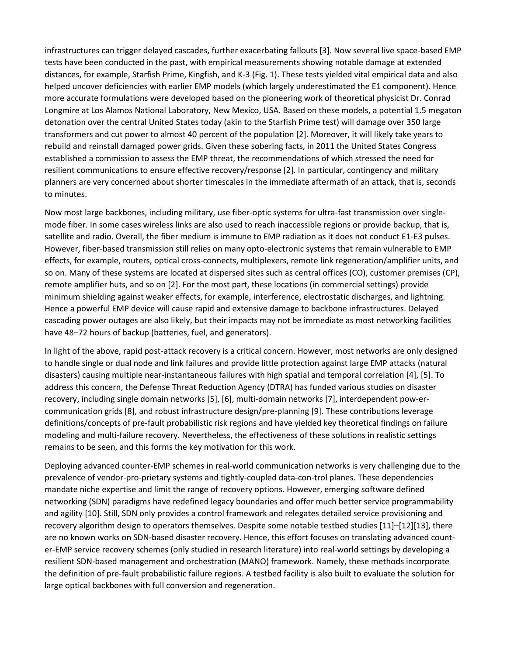infrastructures can trigger delayed cascades, further exacerbating fallouts [3]. Now several live space-based EMP tests have been conducted in the past, with empirical measurements showing notable damage at extended distances, for example, Starfish Prime, Kingfish, and K-3 (Fig. 1). These tests yielded vital empirical data and also helped uncover deficiencies with earlier EMP models (which largely underestimated the E1 component). Hence more accurate formulations were developed based on the pioneering work of theoretical physicist Dr. Conrad Longmire at Los Alamos National Laboratory, New Mexico, USA. Based on these models, a potential 1.5 megaton detonation over the central United States today (akin to the Starfish Prime test) will damage over 350 large transformers and cut power to almost 40 percent of the population [2]. Moreover, it will likely take years to rebuild and reinstall damaged power grids. Given these sobering facts, in 2011 the United States Congress established a commission to assess the EMP threat, the recommendations of which stressed the need for resilient communications to ensure effective recovery/response [2]. In particular, contingency and military planners are very concerned about shorter timescales in the immediate aftermath of an attack, that is, seconds to minutes.

Now most large backbones, including military, use fiber-optic systems for ultra-fast transmission over singlemode fiber. In some cases wireless links are also used to reach inaccessible regions or provide backup, that is, satellite and radio. Overall, the fiber medium is immune to EMP radiation as it does not conduct E1-E3 pulses. However, fiber-based transmission still relies on many opto-electronic systems that remain vulnerable to EMP effects, for example, routers, optical cross-connects, multiplexers, remote link regeneration/amplifier units, and so on. Many of these systems are located at dispersed sites such as central offices (CO), customer premises (CP), remote amplifier huts, and so on [2]. For the most part, these locations (in commercial settings) provide minimum shielding against weaker effects, for example, interference, electrostatic discharges, and lightning. Hence a powerful EMP device will cause rapid and extensive damage to backbone infrastructures. Delayed cascading power outages are also likely, but their impacts may not be immediate as most networking facilities have 48–72 hours of backup (batteries, fuel, and generators).

In light of the above, rapid post-attack recovery is a critical concern. However, most networks are only designed to handle single or dual node and link failures and provide little protection against large EMP attacks (natural disasters) causing multiple near-instantaneous failures with high spatial and temporal correlation [4], [5]. To address this concern, the Defense Threat Reduction Agency (DTRA) has funded various studies on disaster recovery, including single domain networks [5], [6], multi-domain networks [7], interdependent pow-ercommunication grids [8], and robust infrastructure design/pre-planning [9]. These contributions leverage definitions/concepts of pre-fault probabilistic risk regions and have yielded key theoretical findings on failure modeling and multi-failure recovery. Nevertheless, the effectiveness of these solutions in realistic settings remains to be seen, and this forms the key motivation for this work.

Deploying advanced counter-EMP schemes in real-world communication networks is very challenging due to the prevalence of vendor-pro-prietary systems and tightly-coupled data-con-trol planes. These dependencies mandate niche expertise and limit the range of recovery options. However, emerging software defined networking (SDN) paradigms have redefined legacy boundaries and offer much better service programmability and agility [10]. Still, SDN only provides a control framework and relegates detailed service provisioning and recovery algorithm design to operators themselves. Despite some notable testbed studies [11]–[12][13], there are no known works on SDN-based disaster recovery. Hence, this effort focuses on translating advanced counter-EMP service recovery schemes (only studied in research literature) into real-world settings by developing a resilient SDN-based management and orchestration (MANO) framework. Namely, these methods incorporate the definition of pre-fault probabilistic failure regions. A testbed facility is also built to evaluate the solution for large optical backbones with full conversion and regeneration.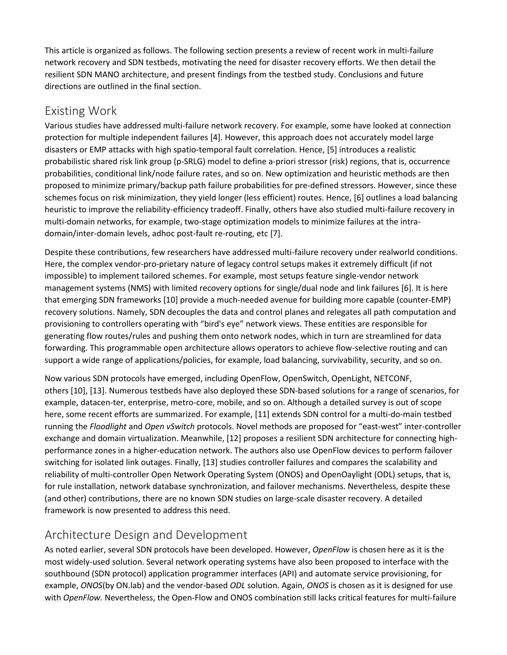This article is organized as follows. The following section presents a review of recent work in multi-failure network recovery and SDN testbeds, motivating the need for disaster recovery efforts. We then detail the resilient SDN MANO architecture, and present findings from the testbed study. Conclusions and future directions are outlined in the final section.

### Existing Work

Various studies have addressed multi-failure network recovery. For example, some have looked at connection protection for multiple independent failures [4]. However, this approach does not accurately model large disasters or EMP attacks with high spatio-temporal fault correlation. Hence, [5] introduces a realistic probabilistic shared risk link group (p-SRLG) model to define a-priori stressor (risk) regions, that is, occurrence probabilities, conditional link/node failure rates, and so on. New optimization and heuristic methods are then proposed to minimize primary/backup path failure probabilities for pre-defined stressors. However, since these schemes focus on risk minimization, they yield longer (less efficient) routes. Hence, [6] outlines a load balancing heuristic to improve the reliability-efficiency tradeoff. Finally, others have also studied multi-failure recovery in multi-domain networks, for example, two-stage optimization models to minimize failures at the intradomain/inter-domain levels, adhoc post-fault re-routing, etc [7].

Despite these contributions, few researchers have addressed multi-failure recovery under realworld conditions. Here, the complex vendor-pro-prietary nature of legacy control setups makes it extremely difficult (if not impossible) to implement tailored schemes. For example, most setups feature single-vendor network management systems (NMS) with limited recovery options for single/dual node and link failures [6]. It is here that emerging SDN frameworks [10] provide a much-needed avenue for building more capable (counter-EMP) recovery solutions. Namely, SDN decouples the data and control planes and relegates all path computation and provisioning to controllers operating with "bird's eye" network views. These entities are responsible for generating flow routes/rules and pushing them onto network nodes, which in turn are streamlined for data forwarding. This programmable open architecture allows operators to achieve flow-selective routing and can support a wide range of applications/policies, for example, load balancing, survivability, security, and so on.

Now various SDN protocols have emerged, including OpenFlow, OpenSwitch, OpenLight, NETCONF, others [10], [13]. Numerous testbeds have also deployed these SDN-based solutions for a range of scenarios, for example, datacen-ter, enterprise, metro-core, mobile, and so on. Although a detailed survey is out of scope here, some recent efforts are summarized. For example, [11] extends SDN control for a multi-do-main testbed running the *Floodlight* and *Open vSwitch* protocols. Novel methods are proposed for "east-west" inter-controller exchange and domain virtualization. Meanwhile, [12] proposes a resilient SDN architecture for connecting highperformance zones in a higher-education network. The authors also use OpenFlow devices to perform failover switching for isolated link outages. Finally, [13] studies controller failures and compares the scalability and reliability of multi-controller Open Network Operating System (ONOS) and OpenOaylight (ODL) setups, that is, for rule installation, network database synchronization, and failover mechanisms. Nevertheless, despite these (and other) contributions, there are no known SDN studies on large-scale disaster recovery. A detailed framework is now presented to address this need.

## Architecture Design and Development

As noted earlier, several SDN protocols have been developed. However, *OpenFlow* is chosen here as it is the most widely-used solution. Several network operating systems have also been proposed to interface with the southbound (SDN protocol) application programmer interfaces (API) and automate service provisioning, for example, *ONOS*(by ON.lab) and the vendor-based *ODL* solution. Again, *ONOS* is chosen as it is designed for use with *OpenFlow.* Nevertheless, the Open-Flow and ONOS combination still lacks critical features for multi-failure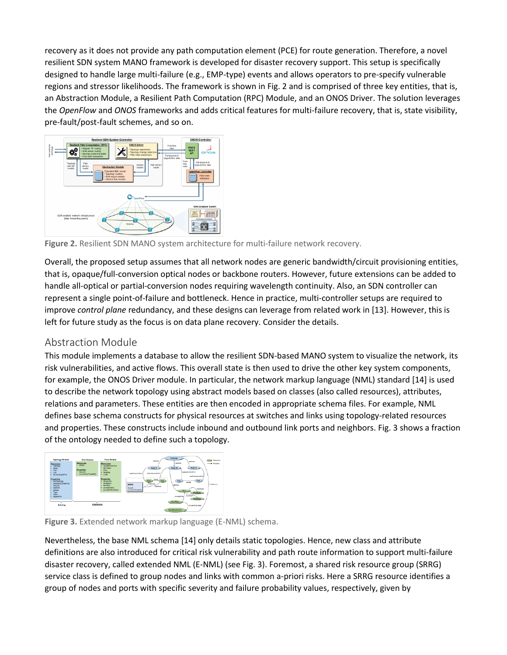recovery as it does not provide any path computation element (PCE) for route generation. Therefore, a novel resilient SDN system MANO framework is developed for disaster recovery support. This setup is specifically designed to handle large multi-failure (e.g., EMP-type) events and allows operators to pre-specify vulnerable regions and stressor likelihoods. The framework is shown in Fig. 2 and is comprised of three key entities, that is, an Abstraction Module, a Resilient Path Computation (RPC) Module, and an ONOS Driver. The solution leverages the *OpenFlow* and *ONOS* frameworks and adds critical features for multi-failure recovery, that is, state visibility, pre-fault/post-fault schemes, and so on.



**Figure 2.** Resilient SDN MANO system architecture for multi-failure network recovery.

Overall, the proposed setup assumes that all network nodes are generic bandwidth/circuit provisioning entities, that is, opaque/full-conversion optical nodes or backbone routers. However, future extensions can be added to handle all-optical or partial-conversion nodes requiring wavelength continuity. Also, an SDN controller can represent a single point-of-failure and bottleneck. Hence in practice, multi-controller setups are required to improve *control plane* redundancy, and these designs can leverage from related work in [13]. However, this is left for future study as the focus is on data plane recovery. Consider the details.

#### Abstraction Module

This module implements a database to allow the resilient SDN-based MANO system to visualize the network, its risk vulnerabilities, and active flows. This overall state is then used to drive the other key system components, for example, the ONOS Driver module. In particular, the network markup language (NML) standard [14] is used to describe the network topology using abstract models based on classes (also called resources), attributes, relations and parameters. These entities are then encoded in appropriate schema files. For example, NML defines base schema constructs for physical resources at switches and links using topology-related resources and properties. These constructs include inbound and outbound link ports and neighbors. Fig. 3 shows a fraction of the ontology needed to define such a topology.



**Figure 3.** Extended network markup language (E-NML) schema.

Nevertheless, the base NML schema [14] only details static topologies. Hence, new class and attribute definitions are also introduced for critical risk vulnerability and path route information to support multi-failure disaster recovery, called extended NML (E-NML) (see Fig. 3). Foremost, a shared risk resource group (SRRG) service class is defined to group nodes and links with common a-priori risks. Here a SRRG resource identifies a group of nodes and ports with specific severity and failure probability values, respectively, given by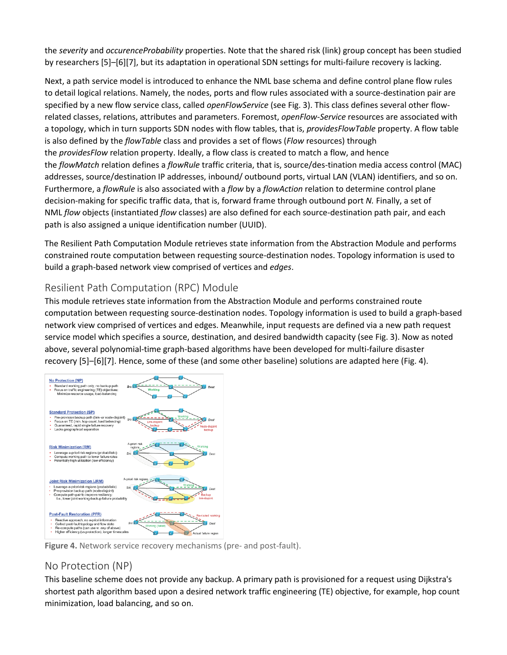the *severity* and *occurenceProbability* properties. Note that the shared risk (link) group concept has been studied by researchers [5]–[6][7], but its adaptation in operational SDN settings for multi-failure recovery is lacking.

Next, a path service model is introduced to enhance the NML base schema and define control plane flow rules to detail logical relations. Namely, the nodes, ports and flow rules associated with a source-destination pair are specified by a new flow service class, called *openFlowService* (see Fig. 3). This class defines several other flowrelated classes, relations, attributes and parameters. Foremost, *openFlow-Service* resources are associated with a topology, which in turn supports SDN nodes with flow tables, that is, *providesFlowTable* property. A flow table is also defined by the *flowTable* class and provides a set of flows (*Flow* resources) through the *providesFlow* relation property. Ideally, a flow class is created to match a flow, and hence the *flowMatch* relation defines a *flowRule* traffic criteria, that is, source/des-tination media access control (MAC) addresses, source/destination IP addresses, inbound/ outbound ports, virtual LAN (VLAN) identifiers, and so on. Furthermore, a *flowRule* is also associated with a *flow* by a *flowAction* relation to determine control plane decision-making for specific traffic data, that is, forward frame through outbound port *N.* Finally, a set of NML *flow* objects (instantiated *flow* classes) are also defined for each source-destination path pair, and each path is also assigned a unique identification number (UUID).

The Resilient Path Computation Module retrieves state information from the Abstraction Module and performs constrained route computation between requesting source-destination nodes. Topology information is used to build a graph-based network view comprised of vertices and *edges*.

#### Resilient Path Computation (RPC) Module

This module retrieves state information from the Abstraction Module and performs constrained route computation between requesting source-destination nodes. Topology information is used to build a graph-based network view comprised of vertices and edges. Meanwhile, input requests are defined via a new path request service model which specifies a source, destination, and desired bandwidth capacity (see Fig. 3). Now as noted above, several polynomial-time graph-based algorithms have been developed for multi-failure disaster recovery [5]–[6][7]. Hence, some of these (and some other baseline) solutions are adapted here (Fig. 4).



**Figure 4.** Network service recovery mechanisms (pre- and post-fault).

#### No Protection (NP)

This baseline scheme does not provide any backup. A primary path is provisioned for a request using Dijkstra's shortest path algorithm based upon a desired network traffic engineering (TE) objective, for example, hop count minimization, load balancing, and so on.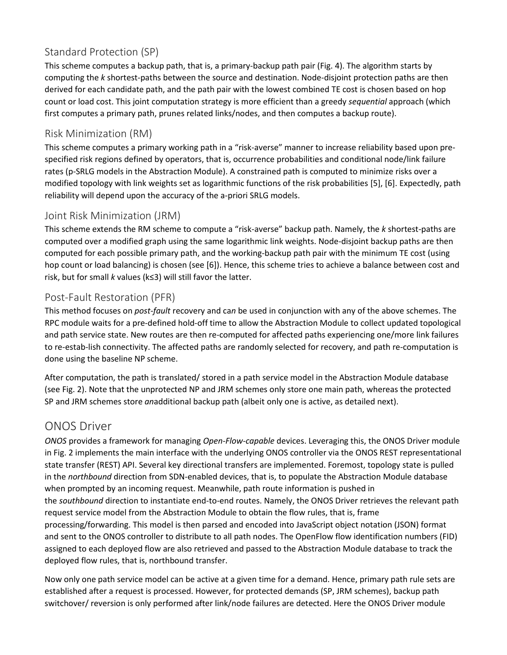## Standard Protection (SP)

This scheme computes a backup path, that is, a primary-backup path pair (Fig. 4). The algorithm starts by computing the *k* shortest-paths between the source and destination. Node-disjoint protection paths are then derived for each candidate path, and the path pair with the lowest combined TE cost is chosen based on hop count or load cost. This joint computation strategy is more efficient than a greedy *sequential* approach (which first computes a primary path, prunes related links/nodes, and then computes a backup route).

#### Risk Minimization (RM)

This scheme computes a primary working path in a "risk-averse" manner to increase reliability based upon prespecified risk regions defined by operators, that is, occurrence probabilities and conditional node/link failure rates (p-SRLG models in the Abstraction Module). A constrained path is computed to minimize risks over a modified topology with link weights set as logarithmic functions of the risk probabilities [5], [6]. Expectedly, path reliability will depend upon the accuracy of the a-priori SRLG models.

#### Joint Risk Minimization (JRM)

This scheme extends the RM scheme to compute a "risk-averse" backup path. Namely, the *k* shortest-paths are computed over a modified graph using the same logarithmic link weights. Node-disjoint backup paths are then computed for each possible primary path, and the working-backup path pair with the minimum TE cost (using hop count or load balancing) is chosen (see [6]). Hence, this scheme tries to achieve a balance between cost and risk, but for small *k* values (k≤3) will still favor the latter.

#### Post-Fault Restoration (PFR)

This method focuses on *post-fault* recovery and ca*n* be used in conjunction with any of the above schemes. The RPC module waits for a pre-defined hold-off time to allow the Abstraction Module to collect updated topological and path service state. New routes are then re-computed for affected paths experiencing one/more link failures to re-estab-lish connectivity. The affected paths are randomly selected for recovery, and path re-computation is done using the baseline NP scheme.

After computation, the path is translated/ stored in a path service model in the Abstraction Module database (see Fig. 2). Note that the unprotected NP and JRM schemes only store one main path, whereas the protected SP and JRM schemes store *an*additional backup path (albeit only one is active, as detailed next).

## ONOS Driver

*ONOS* provides a framework for managing *Open-Flow-capable* devices. Leveraging this, the ONOS Driver module in Fig. 2 implements the main interface with the underlying ONOS controller via the ONOS REST representational state transfer (REST) API. Several key directional transfers are implemented. Foremost, topology state is pulled in the *northbound* direction from SDN-enabled devices, that is, to populate the Abstraction Module database when prompted by an incoming request. Meanwhile, path route information is pushed in the *southbound* direction to instantiate end-to-end routes. Namely, the ONOS Driver retrieves the relevant path request service model from the Abstraction Module to obtain the flow rules, that is, frame processing/forwarding. This model is then parsed and encoded into JavaScript object notation (JSON) format and sent to the ONOS controller to distribute to all path nodes. The OpenFlow flow identification numbers (FID) assigned to each deployed flow are also retrieved and passed to the Abstraction Module database to track the deployed flow rules, that is, northbound transfer.

Now only one path service model can be active at a given time for a demand. Hence, primary path rule sets are established after a request is processed. However, for protected demands (SP, JRM schemes), backup path switchover/ reversion is only performed after link/node failures are detected. Here the ONOS Driver module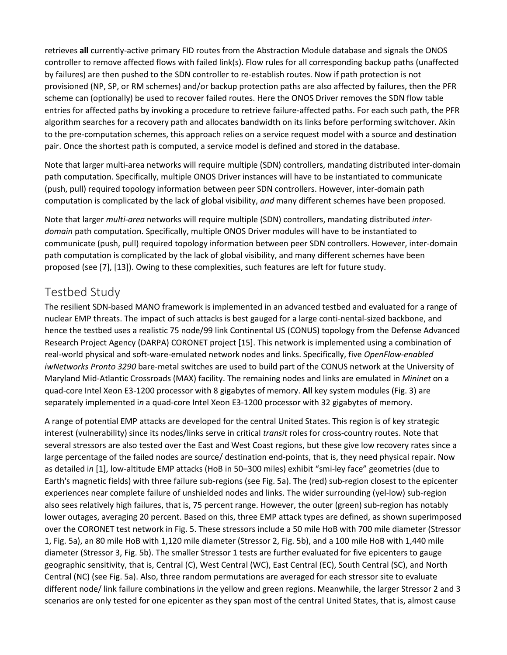retrieves **all** currently-active primary FID routes from the Abstraction Module database and signals the ONOS controller to remove affected flows with failed link(s). Flow rules for all corresponding backup paths (unaffected by failures) are then pushed to the SDN controller to re-establish routes. Now if path protection is not provisioned (NP, SP, or RM schemes) and/or backup protection paths are also affected by failures, then the PFR scheme can (optionally) be used to recover failed routes. Here the ONOS Driver removes the SDN flow table entries for affected paths by invoking a procedure to retrieve failure-affected paths. For each such path, the PFR algorithm searches for a recovery path and allocates bandwidth on its links before performing switchover. Akin to the pre-computation schemes, this approach relies on a service request model with a source and destination pair. Once the shortest path is computed, a service model is defined and stored in the database.

Note that larger multi-area networks will require multiple (SDN) controllers, mandating distributed inter-domain path computation. Specifically, multiple ONOS Driver instances will have to be instantiated to communicate (push, pull) required topology information between peer SDN controllers. However, inter-domain path computation is complicated by the lack of global visibility, *and* many different schemes have been proposed.

Note that larger *multi-area* networks will require multiple (SDN) controllers, mandating distributed *interdomain* path computation. Specifically, multiple ONOS Driver modules will have to be instantiated to communicate (push, pull) required topology information between peer SDN controllers. However, inter-domain path computation is complicated by the lack of global visibility, and many different schemes have been proposed (see [7], [13]). Owing to these complexities, such features are left for future study.

# Testbed Study

The resilient SDN-based MANO framework is implemented in an advanced testbed and evaluated for a range of nuclear EMP threats. The impact of such attacks is best gauged for a large conti-nental-sized backbone, and hence the testbed uses a realistic 75 node/99 link Continental US (CONUS) topology from the Defense Advanced Research Project Agency (DARPA) CORONET project [15]. This network is implemented using a combination of real-world physical and soft-ware-emulated network nodes and links. Specifically, five *OpenFlow-enabled iwNetworks Pronto 3290* bare-metal switches are used to build part of the CONUS network at the University of Maryland Mid-Atlantic Crossroads (MAX) facility. The remaining nodes and links are emulated in *Mininet* on a quad-core Intel Xeon E3-1200 processor with 8 gigabytes of memory. **All** key system modules (Fig. 3) are separately implemented i*n* a quad-core Intel Xeon E3-1200 processor with 32 gigabytes of memory.

A range of potential EMP attacks are developed for the central United States. This region is of key strategic interest (vulnerability) since its nodes/links serve in critical *transit* roles for cross-country routes. Note that several stressors are also tested over the East and West Coast regions, but these give low recovery rates since a large percentage of the failed nodes are source/ destination end-points, that is, they need physical repair. Now as detailed i*n* [1], low-altitude EMP attacks (HoB in 50–300 miles) exhibit "smi-ley face" geometries (due to Earth's magnetic fields) with three failure sub-regions (see Fig. 5a). The (red) sub-region closest to the epicenter experiences near complete failure of unshielded nodes and links. The wider surrounding (yel-low) sub-region also sees relatively high failures, that is, 75 percent range. However, the outer (green) sub-region has notably lower outages, averaging 20 percent. Based on this, three EMP attack types are defined, as shown superimposed over the CORONET test network in Fig. 5. These stressors include a 50 mile HoB with 700 mile diameter (Stressor 1, Fig. 5a), an 80 mile HoB with 1,120 mile diameter (Stressor 2, Fig. 5b), and a 100 mile HoB with 1,440 mile diameter (Stressor 3, Fig. 5b). The smaller Stressor 1 tests are further evaluated for five epicenters to gauge geographic sensitivity, that is, Central (C), West Central (WC), East Central (EC), South Central (SC), and North Central (NC) (see Fig. 5a). Also, three random permutations are averaged for each stressor site to evaluate different node/ link failure combinations i*n* the yellow and green regions. Meanwhile, the larger Stressor 2 and 3 scenarios are only tested for one epicenter as they span most of the central United States, that is, almost cause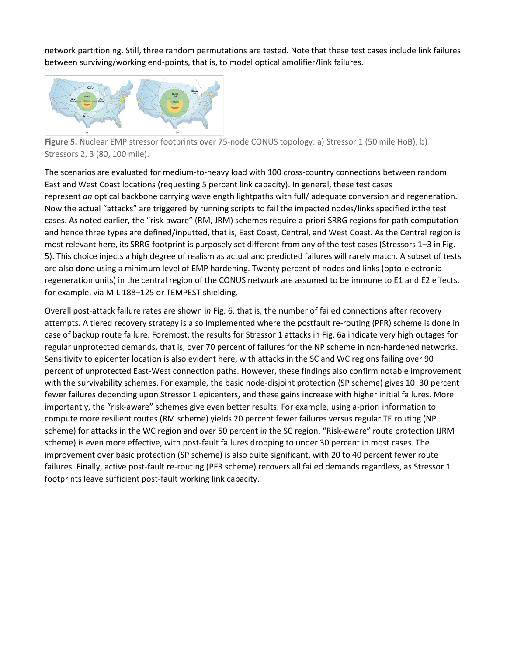network partitioning. Still, three random permutations are tested. Note that these test cases include link failures between surviving/working end-points, that is, to model optical amolifier/link failures.



**Figure 5.** Nuclear EMP stressor footprints over 75-node CONUS topology: a) Stressor 1 (50 mile HoB); b) Stressors 2, 3 (80, 100 mile).

The scenarios are evaluated for medium-to-heavy load with 100 cross-country connections between random East and West Coast locations (requesting 5 percent link capacity). In general, these test cases represent *an* optical backbone carrying wavelength lightpaths with full/ adequate conversion and regeneration. Now the actual "attacks" are triggered by running scripts to fail the impacted nodes/links specified i*n*the test cases. As noted earlier, the "risk-aware" (RM, JRM) schemes require a-priori SRRG regions for path computation and hence three types are defined/inputted, that is, East Coast, Central, and West Coast. As the Central region is most relevant here, its SRRG footprint is purposely set different from any of the test cases (Stressors 1–3 in Fig. 5). This choice injects a high degree of realism as actual and predicted failures will rarely match. A subset of tests are also done using a minimum level of EMP hardening. Twenty percent of nodes and links (opto-electronic regeneration units) in the central region of the CONUS network are assumed to be immune to E1 and E2 effects, for example, via MIL 188–125 or TEMPEST shielding.

Overall post-attack failure rates are shown i*n* Fig. 6, that is, the number of failed connections after recovery attempts. A tiered recovery strategy is also implemented where the postfault re-routing (PFR) scheme is done in case of backup route failure. Foremost, the results for Stressor 1 attacks in Fig. 6a indicate very high outages for regular unprotected demands, that is, over 70 percent of failures for the NP scheme in non-hardened networks. Sensitivity to epicenter location is also evident here, with attacks in the SC and WC regions failing over 90 percent of unprotected East-West connection paths. However, these findings also confirm notable improvement with the survivability schemes. For example, the basic node-disjoint protection (SP scheme) gives 10–30 percent fewer failures depending upon Stressor 1 epicenters, and these gains increase with higher initial failures. More importantly, the "risk-aware" schemes give even better results. For example, using a-priori information to compute more resilient routes (RM scheme) yields 20 percent fewer failures versus regular TE routing (NP scheme) for attacks in the WC region and over 50 percent i*n* the SC region. "Risk-aware" route protection (JRM scheme) is even more effective, with post-fault failures dropping to under 30 percent in most cases. The improvement over basic protection (SP scheme) is also quite significant, with 20 to 40 percent fewer route failures. Finally, active post-fault re-routing (PFR scheme) recovers all failed demands regardless, as Stressor 1 footprints leave sufficient post-fault working link capacity.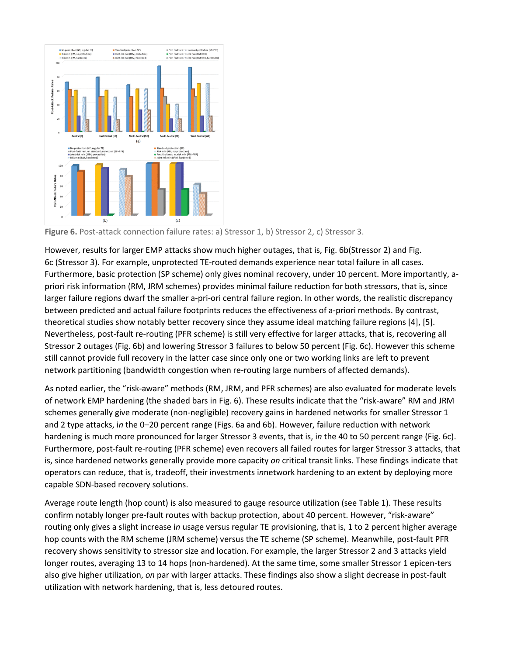

Figure 6. Post-attack connection failure rates: a) Stressor 1, b) Stressor 2, c) Stressor 3.

However, results for larger EMP attacks show much higher outages, that is, Fig. 6b(Stressor 2) and Fig. 6c (Stressor 3). For example, unprotected TE-routed demands experience near total failure in all cases. Furthermore, basic protection (SP scheme) only gives nominal recovery, under 10 percent. More importantly, apriori risk information (RM, JRM schemes) provides minimal failure reduction for both stressors, that is, since larger failure regions dwarf the smaller a-pri-ori central failure region. In other words, the realistic discrepancy between predicted and actual failure footprints reduces the effectiveness of a-priori methods. By contrast, theoretical studies show notably better recovery since they assume ideal matching failure regions [4], [5]. Nevertheless, post-fault re-routing (PFR scheme) is still very effective for larger attacks, that is, recovering all Stressor 2 outages (Fig. 6b) and lowering Stressor 3 failures to below 50 percent (Fig. 6c). However this scheme still cannot provide full recovery in the latter case since only one or two working links are left to prevent network partitioning (bandwidth congestion when re-routing large numbers of affected demands).

As noted earlier, the "risk-aware" methods (RM, JRM, and PFR schemes) are also evaluated for moderate levels of network EMP hardening (the shaded bars in Fig. 6). These results indicate that the "risk-aware" RM and JRM schemes generally give moderate (non-negligible) recovery gains in hardened networks for smaller Stressor 1 and 2 type attacks, i*n* the 0–20 percent range (Figs. 6a and 6b). However, failure reduction with network hardening is much more pronounced for larger Stressor 3 events, that is, i*n* the 40 to 50 percent range (Fig. 6c). Furthermore, post-fault re-routing (PFR scheme) even recovers all failed routes for larger Stressor 3 attacks, that is, since hardened networks generally provide more capacity *on* critical transit links. These findings indicate that operators can reduce, that is, tradeoff, their investments i*n*network hardening to an extent by deploying more capable SDN-based recovery solutions.

Average route length (hop count) is also measured to gauge resource utilization (see Table 1). These results confirm notably longer pre-fault routes with backup protection, about 40 percent. However, "risk-aware" routing only gives a slight increase i*n* usage versus regular TE provisioning, that is, 1 to 2 percent higher average hop counts with the RM scheme (JRM scheme) versus the TE scheme (SP scheme). Meanwhile, post-fault PFR recovery shows sensitivity to stressor size and location. For example, the larger Stressor 2 and 3 attacks yield longer routes, averaging 13 to 14 hops (non-hardened). At the same time, some smaller Stressor 1 epicen-ters also give higher utilization, *on* par with larger attacks. These findings also show a slight decrease in post-fault utilization with network hardening, that is, less detoured routes.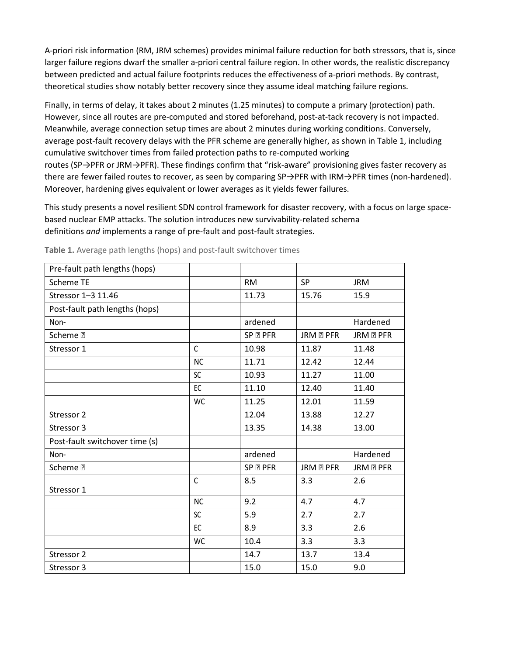A-priori risk information (RM, JRM schemes) provides minimal failure reduction for both stressors, that is, since larger failure regions dwarf the smaller a-priori central failure region. In other words, the realistic discrepancy between predicted and actual failure footprints reduces the effectiveness of a-priori methods. By contrast, theoretical studies show notably better recovery since they assume ideal matching failure regions.

Finally, in terms of delay, it takes about 2 minutes (1.25 minutes) to compute a primary (protection) path. However, since all routes are pre-computed and stored beforehand, post-at-tack recovery is not impacted. Meanwhile, average connection setup times are about 2 minutes during working conditions. Conversely, average post-fault recovery delays with the PFR scheme are generally higher, as shown in Table 1, includi*n*g cumulative switchover times from failed protection paths to re-computed working routes (SP→PFR or JRM→PFR). These findings confirm that "risk-aware" provisioning gives faster recovery as there are fewer failed routes to recover, as seen by comparing SP→PFR with IRM→PFR times (non-hardened). Moreover, hardening gives equivalent or lower averages as it yields fewer failures.

This study presents a novel resilient SDN control framework for disaster recovery, with a focus on large spacebased nuclear EMP attacks. The solution introduces new survivability-related schema definitions *and* implements a range of pre-fault and post-fault strategies.

| Pre-fault path lengths (hops)  |              |                     |                  |                 |
|--------------------------------|--------------|---------------------|------------------|-----------------|
| <b>Scheme TE</b>               |              | <b>RM</b>           | <b>SP</b>        | <b>JRM</b>      |
| Stressor 1-3 11.46             |              | 11.73               | 15.76            | 15.9            |
| Post-fault path lengths (hops) |              |                     |                  |                 |
| Non-                           |              | ardened             |                  | Hardened        |
| Scheme <sup>[7]</sup>          |              | SP <sub>R</sub> PFR | JRM <b>R</b> PFR | JRM <b>EPFR</b> |
| Stressor 1                     | $\mathsf{C}$ | 10.98               | 11.87            | 11.48           |
|                                | <b>NC</b>    | 11.71               | 12.42            | 12.44           |
|                                | SC           | 10.93               | 11.27            | 11.00           |
|                                | EC           | 11.10               | 12.40            | 11.40           |
|                                | WC           | 11.25               | 12.01            | 11.59           |
| Stressor 2                     |              | 12.04               | 13.88            | 12.27           |
| Stressor 3                     |              | 13.35               | 14.38            | 13.00           |
| Post-fault switchover time (s) |              |                     |                  |                 |
| Non-                           |              | ardened             |                  | Hardened        |
| Scheme <sup>[2]</sup>          |              | SP <sub>R</sub> PFR | JRM <b>R</b> PFR | JRM <b>EPFR</b> |
| Stressor 1                     | $\mathsf{C}$ | 8.5                 | 3.3              | 2.6             |
|                                | <b>NC</b>    | 9.2                 | 4.7              | 4.7             |
|                                | <b>SC</b>    | 5.9                 | 2.7              | 2.7             |
|                                |              |                     |                  |                 |
|                                | EC           | 8.9                 | 3.3              | 2.6             |
|                                | WC           | 10.4                | 3.3              | 3.3             |
| Stressor 2                     |              | 14.7                | 13.7             | 13.4            |
| Stressor 3                     |              | 15.0                | 15.0             | 9.0             |

**Table 1.** Average path lengths (hops) and post-fault switchover times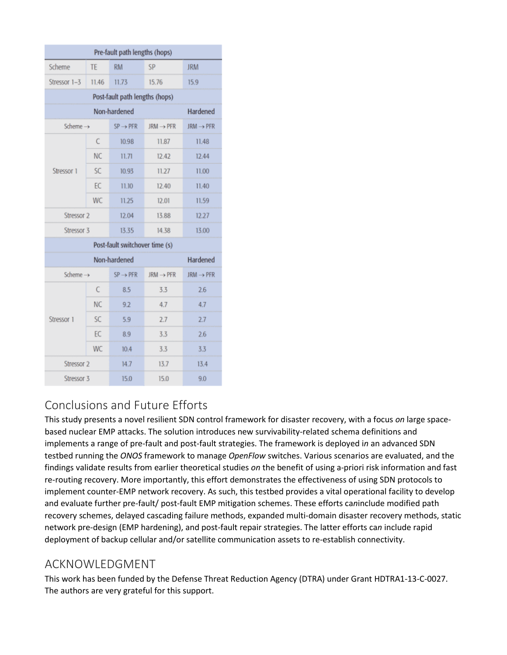| Pre-fault path lengths (hops)  |           |                      |                       |                       |  |  |  |
|--------------------------------|-----------|----------------------|-----------------------|-----------------------|--|--|--|
| Scheme                         | TE        | <b>RM</b>            | SP                    | <b>JRM</b>            |  |  |  |
| Stressor 1-3                   | 11.46     | 11.73                | 15.76                 | 15.9                  |  |  |  |
| Post-fault path lengths (hops) |           |                      |                       |                       |  |  |  |
| Non-hardened                   |           |                      |                       | Hardened              |  |  |  |
| Scheme $\rightarrow$           |           | $SP \rightarrow PFR$ | $JRM \rightarrow PFR$ | $JRM \rightarrow PFR$ |  |  |  |
| Stressor 1                     | C         | 10.98                | 11.87                 | 11.48                 |  |  |  |
|                                | <b>NC</b> | 11.71                | 12.42                 | 12.44                 |  |  |  |
|                                | SC.       | 10.93                | 11.27                 | 11.00                 |  |  |  |
|                                | EC        | 11.10                | 12.40<br>11.40        |                       |  |  |  |
|                                | <b>WC</b> | 11.25                | 12.01                 | 11.59                 |  |  |  |
| Stressor 2                     |           | 12.04                | 13.88                 | 12.27                 |  |  |  |
| Stressor 3                     |           | 13.35                | 14.38                 | 13.00                 |  |  |  |
| Post-fault switchover time (s) |           |                      |                       |                       |  |  |  |
| Non-hardened                   |           |                      | Hardened              |                       |  |  |  |
| Scheme $\rightarrow$           |           | $SP \rightarrow PFR$ | $JRM \rightarrow PFR$ | $JRM \rightarrow PFR$ |  |  |  |
| Stressor 1                     | C         | 8.5                  | 3.3                   | 2.6                   |  |  |  |
|                                | <b>NC</b> | 9.2                  | 4.7                   | 4.7                   |  |  |  |
|                                | <b>SC</b> | 5.9                  | 2.7                   | 2.7                   |  |  |  |
|                                | EC        | 8.9                  | 3.3                   | 2.6                   |  |  |  |
|                                | <b>WC</b> | 10.4                 | 3.3                   | 3.3                   |  |  |  |
| Stressor <sub>2</sub>          |           | 14.7                 | 13.7                  | 13.4                  |  |  |  |
| Stressor 3                     |           | 15.0                 | 15.0                  | 9.0                   |  |  |  |

# Conclusions and Future Efforts

This study presents a novel resilient SDN control framework for disaster recovery, with a focus *on* large spacebased nuclear EMP attacks. The solution introduces new survivability-related schema definitions and implements a range of pre-fault and post-fault strategies. The framework is deployed i*n* an advanced SDN testbed running the *ONOS* framework to manage *OpenFlow* switches. Various scenarios are evaluated, and the findings validate results from earlier theoretical studies *on* the benefit of using a-priori risk information and fast re-routing recovery. More importantly, this effort demonstrates the effectiveness of using SDN protocols to implement counter-EMP network recovery. As such, this testbed provides a vital operational facility to develop and evaluate further pre-fault/ post-fault EMP mitigation schemes. These efforts ca*n*include modified path recovery schemes, delayed cascading failure methods, expanded multi-domain disaster recovery methods, static network pre-design (EMP hardening), and post-fault repair strategies. The latter efforts ca*n* include rapid deployment of backup cellular and/or satellite communication assets to re-establish connectivity.

## ACKNOWLEDGMENT

This work has been funded by the Defense Threat Reduction Agency (DTRA) under Grant HDTRA1-13-C-0027. The authors are very grateful for this support.